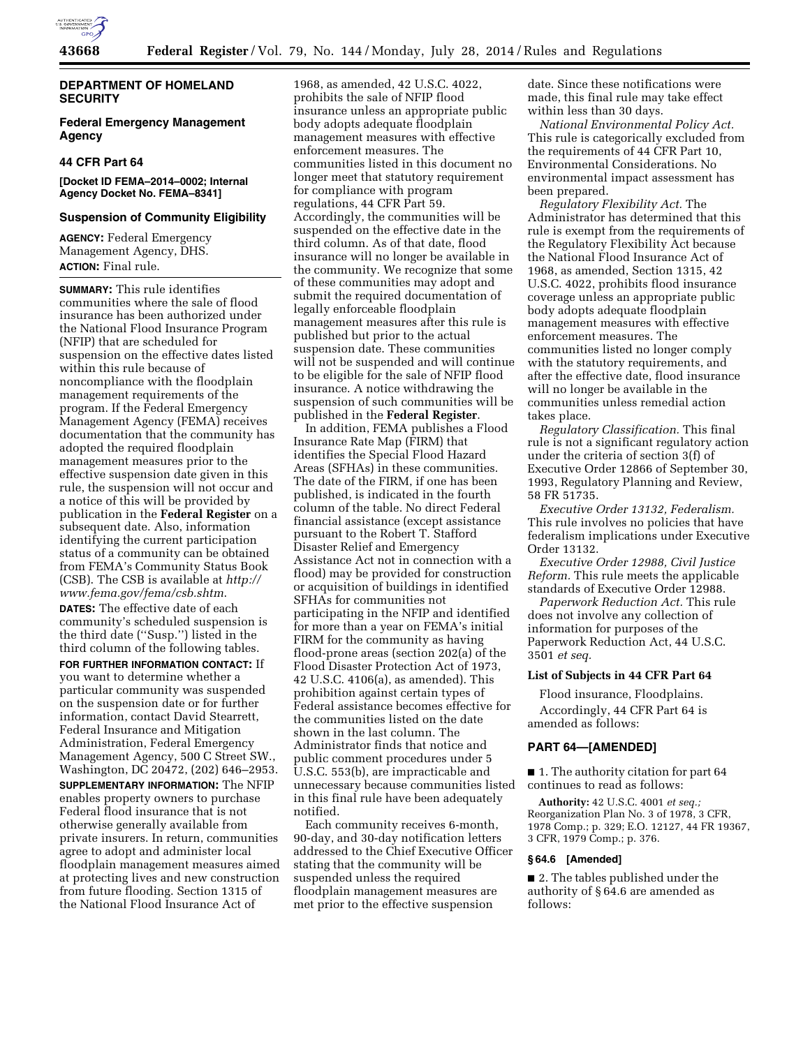

## **DEPARTMENT OF HOMELAND SECURITY**

## **Federal Emergency Management Agency**

## **44 CFR Part 64**

## **[Docket ID FEMA–2014–0002; Internal Agency Docket No. FEMA–8341]**

### **Suspension of Community Eligibility**

**AGENCY:** Federal Emergency Management Agency, DHS. **ACTION:** Final rule.

**SUMMARY:** This rule identifies communities where the sale of flood insurance has been authorized under the National Flood Insurance Program (NFIP) that are scheduled for suspension on the effective dates listed within this rule because of noncompliance with the floodplain management requirements of the program. If the Federal Emergency Management Agency (FEMA) receives documentation that the community has adopted the required floodplain management measures prior to the effective suspension date given in this rule, the suspension will not occur and a notice of this will be provided by publication in the **Federal Register** on a subsequent date. Also, information identifying the current participation status of a community can be obtained from FEMA's Community Status Book (CSB). The CSB is available at *[http://](http://www.fema.gov/fema/csb.shtm) [www.fema.gov/fema/csb.shtm](http://www.fema.gov/fema/csb.shtm)*.

**DATES:** The effective date of each community's scheduled suspension is the third date (''Susp.'') listed in the third column of the following tables.

**FOR FURTHER INFORMATION CONTACT:** If you want to determine whether a particular community was suspended on the suspension date or for further information, contact David Stearrett, Federal Insurance and Mitigation Administration, Federal Emergency Management Agency, 500 C Street SW., Washington, DC 20472, (202) 646–2953.

**SUPPLEMENTARY INFORMATION:** The NFIP enables property owners to purchase Federal flood insurance that is not otherwise generally available from private insurers. In return, communities agree to adopt and administer local floodplain management measures aimed at protecting lives and new construction from future flooding. Section 1315 of the National Flood Insurance Act of

1968, as amended, 42 U.S.C. 4022, prohibits the sale of NFIP flood insurance unless an appropriate public body adopts adequate floodplain management measures with effective enforcement measures. The communities listed in this document no longer meet that statutory requirement for compliance with program regulations, 44 CFR Part 59. Accordingly, the communities will be suspended on the effective date in the third column. As of that date, flood insurance will no longer be available in the community. We recognize that some of these communities may adopt and submit the required documentation of legally enforceable floodplain management measures after this rule is published but prior to the actual suspension date. These communities will not be suspended and will continue to be eligible for the sale of NFIP flood insurance. A notice withdrawing the suspension of such communities will be published in the **Federal Register**.

In addition, FEMA publishes a Flood Insurance Rate Map (FIRM) that identifies the Special Flood Hazard Areas (SFHAs) in these communities. The date of the FIRM, if one has been published, is indicated in the fourth column of the table. No direct Federal financial assistance (except assistance pursuant to the Robert T. Stafford Disaster Relief and Emergency Assistance Act not in connection with a flood) may be provided for construction or acquisition of buildings in identified SFHAs for communities not participating in the NFIP and identified for more than a year on FEMA's initial FIRM for the community as having flood-prone areas (section 202(a) of the Flood Disaster Protection Act of 1973, 42 U.S.C. 4106(a), as amended). This prohibition against certain types of Federal assistance becomes effective for the communities listed on the date shown in the last column. The Administrator finds that notice and public comment procedures under 5 U.S.C. 553(b), are impracticable and unnecessary because communities listed in this final rule have been adequately notified.

Each community receives 6-month, 90-day, and 30-day notification letters addressed to the Chief Executive Officer stating that the community will be suspended unless the required floodplain management measures are met prior to the effective suspension

date. Since these notifications were made, this final rule may take effect within less than 30 days.

*National Environmental Policy Act.*  This rule is categorically excluded from the requirements of 44 CFR Part 10, Environmental Considerations. No environmental impact assessment has been prepared.

*Regulatory Flexibility Act.* The Administrator has determined that this rule is exempt from the requirements of the Regulatory Flexibility Act because the National Flood Insurance Act of 1968, as amended, Section 1315, 42 U.S.C. 4022, prohibits flood insurance coverage unless an appropriate public body adopts adequate floodplain management measures with effective enforcement measures. The communities listed no longer comply with the statutory requirements, and after the effective date, flood insurance will no longer be available in the communities unless remedial action takes place.

*Regulatory Classification.* This final rule is not a significant regulatory action under the criteria of section 3(f) of Executive Order 12866 of September 30, 1993, Regulatory Planning and Review, 58 FR 51735.

*Executive Order 13132, Federalism.*  This rule involves no policies that have federalism implications under Executive Order 13132.

*Executive Order 12988, Civil Justice Reform.* This rule meets the applicable standards of Executive Order 12988.

*Paperwork Reduction Act.* This rule does not involve any collection of information for purposes of the Paperwork Reduction Act, 44 U.S.C. 3501 *et seq.* 

### **List of Subjects in 44 CFR Part 64**

Flood insurance, Floodplains. Accordingly, 44 CFR Part 64 is

# **PART 64—[AMENDED]**

amended as follows:

■ 1. The authority citation for part 64 continues to read as follows:

**Authority:** 42 U.S.C. 4001 *et seq.;*  Reorganization Plan No. 3 of 1978, 3 CFR, 1978 Comp.; p. 329; E.O. 12127, 44 FR 19367, 3 CFR, 1979 Comp.; p. 376.

### **§ 64.6 [Amended]**

■ 2. The tables published under the authority of § 64.6 are amended as follows: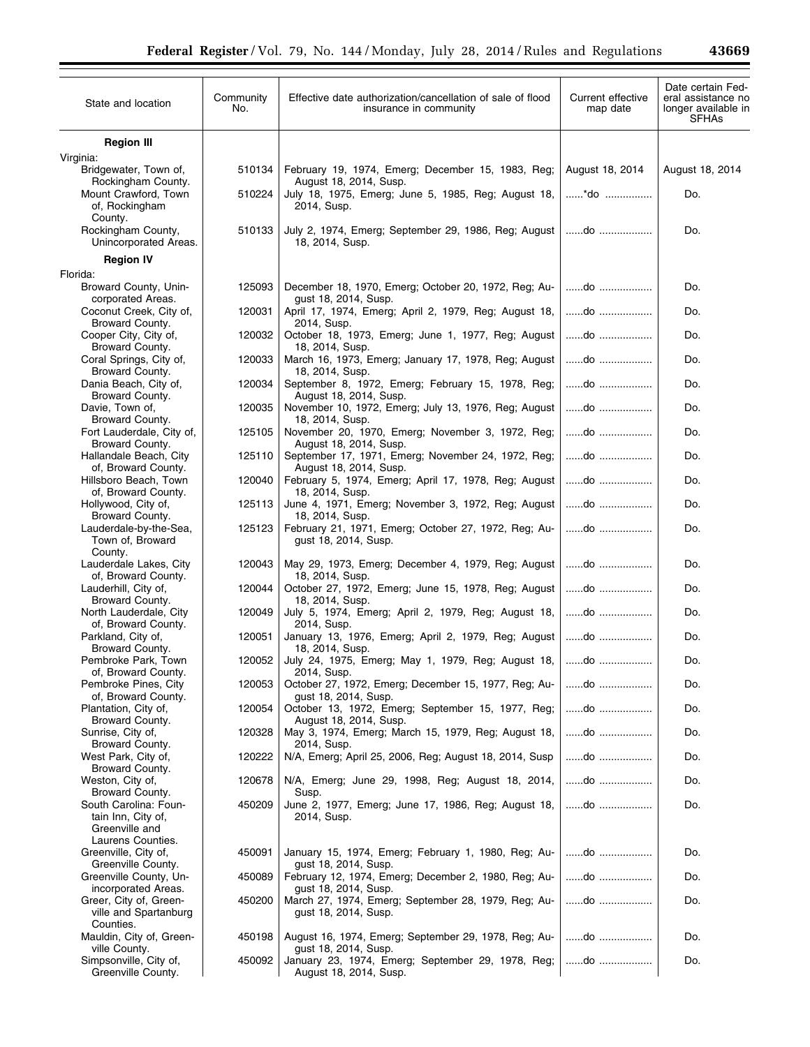| 43669 |  |  |
|-------|--|--|
|-------|--|--|

| State and location                                                                  | Community<br>No. | Effective date authorization/cancellation of sale of flood<br>insurance in community                | Current effective<br>map date | Date certain Fed-<br>eral assistance no<br>longer available in<br><b>SFHAs</b> |
|-------------------------------------------------------------------------------------|------------------|-----------------------------------------------------------------------------------------------------|-------------------------------|--------------------------------------------------------------------------------|
| <b>Region III</b>                                                                   |                  |                                                                                                     |                               |                                                                                |
| Virginia:<br>Bridgewater, Town of,                                                  | 510134           | February 19, 1974, Emerg; December 15, 1983, Reg;                                                   | August 18, 2014               | August 18, 2014                                                                |
| Rockingham County.<br>Mount Crawford, Town<br>of, Rockingham                        | 510224           | August 18, 2014, Susp.<br>July 18, 1975, Emerg; June 5, 1985, Reg; August 18,<br>2014, Susp.        | *do                           | Do.                                                                            |
| County.<br>Rockingham County,<br>Unincorporated Areas.                              | 510133           | July 2, 1974, Emerg; September 29, 1986, Reg; August<br>18, 2014, Susp.                             | do                            | Do.                                                                            |
| <b>Region IV</b>                                                                    |                  |                                                                                                     |                               |                                                                                |
| Florida:                                                                            |                  |                                                                                                     |                               |                                                                                |
| Broward County, Unin-<br>corporated Areas.                                          | 125093           | December 18, 1970, Emerg; October 20, 1972, Reg; Au-<br>gust 18, 2014, Susp.                        | do                            | Do.                                                                            |
| Coconut Creek, City of,<br>Broward County.                                          | 120031           | April 17, 1974, Emerg; April 2, 1979, Reg; August 18,<br>2014, Susp.                                | do                            | Do.                                                                            |
| Cooper City, City of,<br>Broward County.                                            | 120032           | October 18, 1973, Emerg; June 1, 1977, Reg; August<br>18, 2014, Susp.                               | do                            | Do.                                                                            |
| Coral Springs, City of,<br>Broward County.                                          | 120033           | March 16, 1973, Emerg; January 17, 1978, Reg; August<br>18, 2014, Susp.                             | do                            | Do.                                                                            |
| Dania Beach, City of,<br>Broward County.                                            | 120034           | September 8, 1972, Emerg; February 15, 1978, Reg;<br>August 18, 2014, Susp.                         | do                            | Do.                                                                            |
| Davie, Town of,<br>Broward County.                                                  | 120035           | November 10, 1972, Emerg; July 13, 1976, Reg; August<br>18, 2014, Susp.                             | do                            | Do.                                                                            |
| Fort Lauderdale, City of,                                                           | 125105           | November 20, 1970, Emerg; November 3, 1972, Reg;                                                    | do                            | Do.                                                                            |
| Broward County.<br>Hallandale Beach, City                                           | 125110           | August 18, 2014, Susp.<br>September 17, 1971, Emerg; November 24, 1972, Reg;                        | do                            | Do.                                                                            |
| of, Broward County.<br>Hillsboro Beach, Town                                        | 120040           | August 18, 2014, Susp.<br>February 5, 1974, Emerg; April 17, 1978, Reg; August                      | do                            | Do.                                                                            |
| of, Broward County.<br>Hollywood, City of,                                          | 125113           | 18, 2014, Susp.<br>June 4, 1971, Emerg; November 3, 1972, Reg; August                               | do                            | Do.                                                                            |
| Broward County.<br>Lauderdale-by-the-Sea,                                           | 125123           | 18, 2014, Susp.<br>February 21, 1971, Emerg; October 27, 1972, Reg; Au-                             | do                            | Do.                                                                            |
| Town of, Broward<br>County.                                                         |                  | gust 18, 2014, Susp.                                                                                |                               |                                                                                |
| Lauderdale Lakes, City<br>of, Broward County.                                       | 120043           | May 29, 1973, Emerg; December 4, 1979, Reg; August<br>18, 2014, Susp.                               |                               | Do.                                                                            |
| Lauderhill, City of,<br>Broward County.                                             | 120044           | October 27, 1972, Emerg; June 15, 1978, Reg; August<br>18, 2014, Susp.                              | do                            | Do.                                                                            |
| North Lauderdale, City<br>of, Broward County.                                       | 120049           | July 5, 1974, Emerg; April 2, 1979, Reg; August 18,<br>2014, Susp.                                  | do                            | Do.                                                                            |
| Parkland, City of,<br>Broward County.                                               | 120051           | January 13, 1976, Emerg; April 2, 1979, Reg; August<br>18, 2014, Susp.                              | do                            | Do.                                                                            |
| Pembroke Park, Town<br>of, Broward County.                                          | 120052           | July 24, 1975, Emerg; May 1, 1979, Reg; August 18,   do<br>2014, Susp.                              |                               | Do.                                                                            |
| Pembroke Pines, City<br>of, Broward County.                                         | 120053           | October 27, 1972, Emerg; December 15, 1977, Reg; Au-<br>gust 18, 2014, Susp.                        | do                            | Do.                                                                            |
| Plantation, City of,<br>Broward County.                                             | 120054           | October 13, 1972, Emerg; September 15, 1977, Reg;<br>August 18, 2014, Susp.                         | do                            | Do.                                                                            |
| Sunrise, City of,<br>Broward County.                                                | 120328           | May 3, 1974, Emerg; March 15, 1979, Reg; August 18,<br>2014, Susp.                                  | do                            | Do.                                                                            |
| West Park, City of,<br>Broward County.                                              | 120222           | N/A, Emerg; April 25, 2006, Reg; August 18, 2014, Susp                                              | do                            | Do.                                                                            |
| Weston, City of,<br>Broward County.                                                 | 120678           | N/A, Emerg; June 29, 1998, Reg; August 18, 2014,<br>Susp.                                           | do                            | Do.                                                                            |
| South Carolina: Foun-<br>tain Inn, City of,<br>Greenville and                       | 450209           | June 2, 1977, Emerg; June 17, 1986, Reg; August 18,<br>2014, Susp.                                  | do                            | Do.                                                                            |
| Laurens Counties.<br>Greenville, City of,                                           | 450091           | January 15, 1974, Emerg; February 1, 1980, Reg; Au-                                                 | do                            | Do.                                                                            |
| Greenville County.<br>Greenville County, Un-                                        | 450089           | gust 18, 2014, Susp.<br>February 12, 1974, Emerg; December 2, 1980, Reg; Au-                        | do                            | Do.                                                                            |
| incorporated Areas.<br>Greer, City of, Green-<br>ville and Spartanburg<br>Counties. | 450200           | gust 18, 2014, Susp.<br>March 27, 1974, Emerg; September 28, 1979, Reg; Au-<br>gust 18, 2014, Susp. | do                            | Do.                                                                            |
| Mauldin, City of, Green-<br>ville County.                                           | 450198           | August 16, 1974, Emerg; September 29, 1978, Reg; Au-<br>gust 18, 2014, Susp.                        | do                            | Do.                                                                            |
| Simpsonville, City of,<br>Greenville County.                                        | 450092           | January 23, 1974, Emerg; September 29, 1978, Reg;<br>August 18, 2014, Susp.                         | do                            | Do.                                                                            |